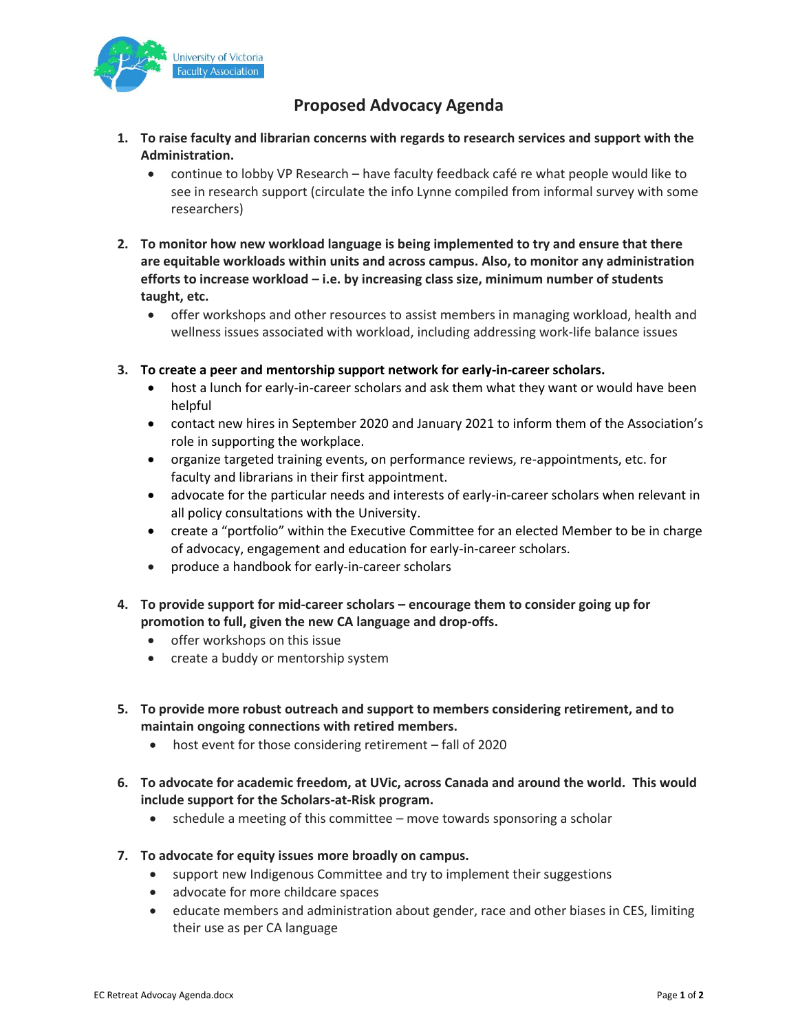

## **Proposed Advocacy Agenda**

- **1. To raise faculty and librarian concerns with regards to research services and support with the Administration.**
	- continue to lobby VP Research have faculty feedback café re what people would like to see in research support (circulate the info Lynne compiled from informal survey with some researchers)
- **2. To monitor how new workload language is being implemented to try and ensure that there are equitable workloads within units and across campus. Also, to monitor any administration efforts to increase workload – i.e. by increasing class size, minimum number of students taught, etc.**
	- offer workshops and other resources to assist members in managing workload, health and wellness issues associated with workload, including addressing work-life balance issues
- **3. To create a peer and mentorship support network for early-in-career scholars.** 
	- host a lunch for early-in-career scholars and ask them what they want or would have been helpful
	- contact new hires in September 2020 and January 2021 to inform them of the Association's role in supporting the workplace.
	- organize targeted training events, on performance reviews, re-appointments, etc. for faculty and librarians in their first appointment.
	- advocate for the particular needs and interests of early-in-career scholars when relevant in all policy consultations with the University.
	- create a "portfolio" within the Executive Committee for an elected Member to be in charge of advocacy, engagement and education for early-in-career scholars.
	- produce a handbook for early-in-career scholars
- **4. To provide support for mid-career scholars – encourage them to consider going up for promotion to full, given the new CA language and drop-offs.** 
	- offer workshops on this issue
	- create a buddy or mentorship system
- **5. To provide more robust outreach and support to members considering retirement, and to maintain ongoing connections with retired members.**
	- host event for those considering retirement fall of 2020
- **6. To advocate for academic freedom, at UVic, across Canada and around the world. This would include support for the Scholars-at-Risk program.**
	- schedule a meeting of this committee move towards sponsoring a scholar
- **7. To advocate for equity issues more broadly on campus.**
	- support new Indigenous Committee and try to implement their suggestions
	- advocate for more childcare spaces
	- educate members and administration about gender, race and other biases in CES, limiting their use as per CA language